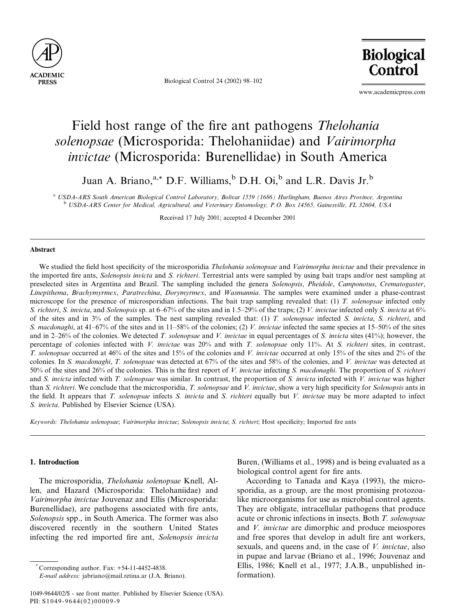

Biological Control 24 (2002) 98–102

**Biological** Control

www.academicpress.com

# Field host range of the fire ant pathogens Thelohania solenopsae (Microsporida: Thelohaniidae) and Vairimorpha invictae (Microsporida: Burenellidae) in South America

Juan A. Briano,<sup>a,\*</sup> D.F. Williams,<sup>b</sup> D.H. Oi,<sup>b</sup> and L.R. Davis Jr.<sup>b</sup>

<sup>a</sup> USDA-ARS South American Biological Control Laboratory, Bolivar 1559 (1686) Hurlingham, Buenos Aires Province, Argentina <sup>b</sup> USDA-ARS Center for Medical, Agricultural, and Veterinary Entomology, P.O. Box 14565, Gainesville, FL 32604, USA

Received 17 July 2001; accepted 4 December 2001

### Abstract

We studied the field host specificity of the microsporidia Thelohania solenopsae and Vairimorpha invictae and their prevalence in the imported fire ants, Solenopsis invicta and S. richteri. Terrestrial ants were sampled by using bait traps and/or nest sampling at preselected sites in Argentina and Brazil. The sampling included the genera Solenopsis, Pheidole, Camponotus, Crematogaster, Linepithema, Brachymyrmex, Paratrechina, Dorymyrmex, and Wasmannia. The samples were examined under a phase-contrast microscope for the presence of microsporidian infections. The bait trap sampling revealed that: (1) T. solenopsae infected only S. richteri, S. invicta, and Solenopsis sp. at  $6-67\%$  of the sites and in 1.5–29% of the traps; (2) V. invictae infected only S. invicta at 6% of the sites and in  $3\%$  of the samples. The nest sampling revealed that: (1) T. solenopsae infected S. invicta, S. richteri, and S. macdonaghi, at 41–67% of the sites and in 11–58% of the colonies; (2) V. invictae infected the same species at 15–50% of the sites and in 2–26% of the colonies. We detected T. solenopsae and V. invictae in equal percentages of S. invicta sites (41%); however, the percentage of colonies infected with V. invictae was  $20\%$  and with T. solenopsae only 11%. At S. richteri sites, in contrast, T. solenopsae occurred at 46% of the sites and 15% of the colonies and V. invictae occurred at only 15% of the sites and 2% of the colonies. In S. macdonaghi, T. solenopsae was detected at 67% of the sites and 58% of the colonies, and V. invictae was detected at 50% of the sites and 26% of the colonies. This is the first report of V. invictae infecting S. macdonaghi. The proportion of S. richteri and S. invicta infected with T. solenopsae was similar. In contrast, the proportion of S. invicta infected with V. invictae was higher than S. richteri. We conclude that the microsporidia, T. solenopsae and V. invictae, show a very high specificity for Solenopsis ants in the field. It appears that T. solenopsae infects S. invicta and S. richteri equally but V. invictae may be more adapted to infect S. invicta. Published by Elsevier Science (USA).

Keywords: Thelohania solenopsae; Vairimorpha invictae; Solenopsis invicta; S. richteri; Host specificity; Imported fire ants

## 1. Introduction

The microsporidia, Thelohania solenopsae Knell, Allen, and Hazard (Microsporida: Thelohaniidae) and Vairimorpha invictae Jouvenaz and Ellis (Microsporida: Burenellidae), are pathogens associated with fire ants, Solenopsis spp., in South America. The former was also discovered recently in the southern United States infecting the red imported fire ant, Solenopsis invicta

Buren, (Williams et al., 1998) and is being evaluated as a biological control agent for fire ants.

According to Tanada and Kaya (1993), the microsporidia, as a group, are the most promising protozoalike microorganisms for use as microbial control agents. They are obligate, intracellular pathogens that produce acute or chronic infections in insects. Both T. solenopsae and V. invictae are dimorphic and produce meiospores and free spores that develop in adult fire ant workers, sexuals, and queens and, in the case of *V. invictae*, also in pupae and larvae (Briano et al., 1996; Jouvenaz and Ellis, 1986; Knell et al., 1977; J.A.B., unpublished information).

<sup>\*</sup> Corresponding author. Fax: +54-11-4452-4838.

E-mail address: jabriano@mail.retina.ar (J.A. Briano).

<sup>1049-9644/02/\$ -</sup> see front matter. Published by Elsevier Science (USA). PII: S1049-9644(02)00009-9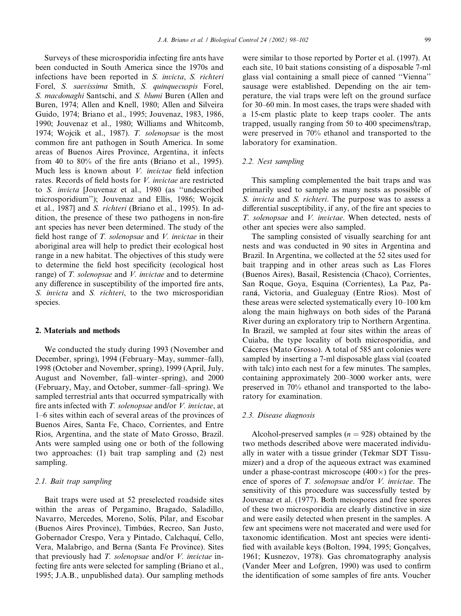Surveys of these microsporidia infecting fire ants have been conducted in South America since the 1970s and infections have been reported in S. invicta, S. richteri Forel, S. saevissima Smith, S. quinquecuspis Forel, S. macdonaghi Santschi, and S. blumi Buren (Allen and Buren, 1974; Allen and Knell, 1980; Allen and Silveira Guido, 1974; Briano et al., 1995; Jouvenaz, 1983, 1986, 1990; Jouvenaz et al., 1980; Williams and Whitcomb, 1974; Wojcik et al., 1987). T. solenopsae is the most common fire ant pathogen in South America. In some areas of Buenos Aires Province, Argentina, it infects from 40 to 80% of the fire ants (Briano et al., 1995). Much less is known about *V. invictae* field infection rates. Records of field hosts for V. invictae are restricted to S. invicta [Jouvenaz et al., 1980 (as ''undescribed microsporidium''); Jouvenaz and Ellis, 1986; Wojcik et al., 1987] and S. richteri (Briano et al., 1995). In addition, the presence of these two pathogens in non-fire ant species has never been determined. The study of the field host range of  $T$ . solenopsae and  $V$ . invictae in their aboriginal area will help to predict their ecological host range in a new habitat. The objectives of this study were to determine the field host specificity (ecological host range) of T. solenopsae and V. invictae and to determine any difference in susceptibility of the imported fire ants, S. *invicta* and S. *richteri*, to the two microsporidian species.

# 2. Materials and methods

We conducted the study during 1993 (November and December, spring), 1994 (February–May, summer–fall), 1998 (October and November, spring), 1999 (April, July, August and November, fall–winter–spring), and 2000 (February, May, and October, summer–fall–spring). We sampled terrestrial ants that occurred sympatrically with fire ants infected with T. solenopsae and/or V. invictae, at 1–6 sites within each of several areas of the provinces of Buenos Aires, Santa Fe, Chaco, Corrientes, and Entre Rios, Argentina, and the state of Mato Grosso, Brazil. Ants were sampled using one or both of the following two approaches: (1) bait trap sampling and (2) nest sampling.

# 2.1. Bait trap sampling

Bait traps were used at 52 preselected roadside sites within the areas of Pergamino, Bragado, Saladillo, Navarro, Mercedes, Moreno, Solís, Pilar, and Escobar (Buenos Aires Province), Timbúes, Recreo, San Justo, Gobernador Crespo, Vera y Pintado, Calchaquı, Cello, Vera, Malabrigo, and Berna (Santa Fe Province). Sites that previously had T. solenopsae and/or V. invictae infecting fire ants were selected for sampling (Briano et al., 1995; J.A.B., unpublished data). Our sampling methods

were similar to those reported by Porter et al. (1997). At each site, 10 bait stations consisting of a disposable 7-ml glass vial containing a small piece of canned ''Vienna'' sausage were established. Depending on the air temperature, the vial traps were left on the ground surface for 30–60 min. In most cases, the traps were shaded with a 15-cm plastic plate to keep traps cooler. The ants trapped, usually ranging from 50 to 400 specimens/trap, were preserved in 70% ethanol and transported to the laboratory for examination.

# 2.2. Nest sampling

This sampling complemented the bait traps and was primarily used to sample as many nests as possible of S. *invicta* and S. *richteri*. The purpose was to assess a differential susceptibility, if any, of the fire ant species to T. solenopsae and V. invictae. When detected, nests of other ant species were also sampled.

The sampling consisted of visually searching for ant nests and was conducted in 90 sites in Argentina and Brazil. In Argentina, we collected at the 52 sites used for bait trapping and in other areas such as Las Flores (Buenos Aires), Basail, Resistencia (Chaco), Corrientes, San Roque, Goya, Esquina (Corrientes), La Paz, Paraná, Victoria, and Gualeguay (Entre Rios). Most of these areas were selected systematically every 10–100 km along the main highways on both sides of the Paraná River during an exploratory trip to Northern Argentina. In Brazil, we sampled at four sites within the areas of Cuiaba, the type locality of both microsporidia, and Cáceres (Mato Grosso). A total of 585 ant colonies were sampled by inserting a 7-ml disposable glass vial (coated with talc) into each nest for a few minutes. The samples, containing approximately 200–3000 worker ants, were preserved in 70% ethanol and transported to the laboratory for examination.

## 2.3. Disease diagnosis

Alcohol-preserved samples ( $n = 928$ ) obtained by the two methods described above were macerated individually in water with a tissue grinder (Tekmar SDT Tissumizer) and a drop of the aqueous extract was examined under a phase-contrast microscope  $(400\times)$  for the presence of spores of T. solenopsae and/or V. invictae. The sensitivity of this procedure was successfully tested by Jouvenaz et al. (1977). Both meiospores and free spores of these two microsporidia are clearly distinctive in size and were easily detected when present in the samples. A few ant specimens were not macerated and were used for taxonomic identification. Most ant species were identified with available keys (Bolton, 1994, 1995; Goncalves, 1961; Kusnezov, 1978). Gas chromatography analysis (Vander Meer and Lofgren, 1990) was used to confirm the identification of some samples of fire ants. Voucher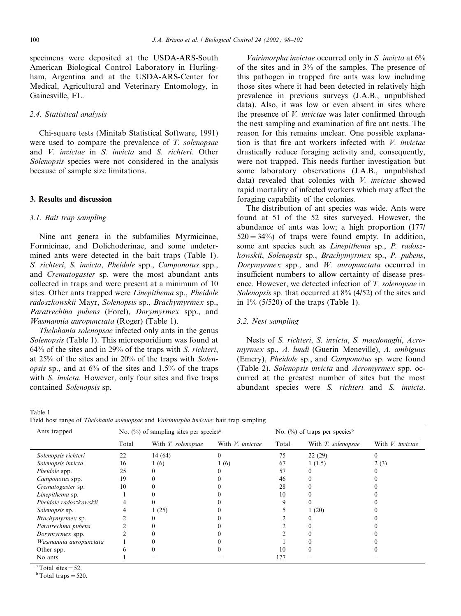specimens were deposited at the USDA-ARS-South American Biological Control Laboratory in Hurlingham, Argentina and at the USDA-ARS-Center for Medical, Agricultural and Veterinary Entomology, in Gainesville, FL.

# 2.4. Statistical analysis

Chi-square tests (Minitab Statistical Software, 1991) were used to compare the prevalence of T. solenopsae and V. invictae in S. invicta and S. richteri. Other Solenopsis species were not considered in the analysis because of sample size limitations.

### 3. Results and discussion

#### 3.1. Bait trap sampling

Nine ant genera in the subfamilies Myrmicinae, Formicinae, and Dolichoderinae, and some undetermined ants were detected in the bait traps (Table 1). S. richteri, S. invicta, Pheidole spp., Camponotus spp., and Crematogaster sp. were the most abundant ants collected in traps and were present at a minimum of 10 sites. Other ants trapped were Linepithema sp., Pheidole radoszkowskii Mayr, Solenopsis sp., Brachymyrmex sp., Paratrechina pubens (Forel), Dorymyrmex spp., and Wasmannia auropunctata (Roger) (Table 1).

Thelohania solenopsae infected only ants in the genus Solenopsis (Table 1). This microsporidium was found at 64% of the sites and in 29% of the traps with S. richteri, at 25% of the sites and in 20% of the traps with Solenopsis sp., and at 6% of the sites and 1.5% of the traps with *S. invicta*. However, only four sites and five traps contained Solenopsis sp.

Table 1 Field host range of Thelohania solenopsae and Vairimorpha invictae: bait trap sampling

| Ants trapped            | No. $(\%)$ of sampling sites per species <sup>a</sup> |                    |                  | No. $(\%)$ of traps per species <sup>b</sup> |                    |                  |
|-------------------------|-------------------------------------------------------|--------------------|------------------|----------------------------------------------|--------------------|------------------|
|                         | Total                                                 | With T. solenopsae | With V. invictae | Total                                        | With T. solenopsae | With V. invictae |
| Solenopsis richteri     | 22                                                    | 14 (64)            |                  | 75                                           | 22(29)             |                  |
| Solenopsis invicta      | 16                                                    | 1(6)               | 1(6)             | 67                                           | 1(1.5)             | 2(3)             |
| Pheidole spp.           | 25                                                    |                    |                  | 57                                           |                    |                  |
| Camponotus spp.         | 19                                                    |                    |                  | 46                                           |                    |                  |
| Crematogaster sp.       | 10                                                    |                    |                  | 28                                           |                    |                  |
| Linepithema sp.         |                                                       |                    |                  | 10                                           |                    |                  |
| Pheidole radoszkowskii  |                                                       |                    |                  |                                              |                    |                  |
| Solenopsis sp.          |                                                       | 1(25)              |                  |                                              | 1(20)              |                  |
| <i>Brachymyrmex</i> sp. |                                                       |                    |                  |                                              |                    |                  |
| Paratrechina pubens     |                                                       |                    |                  |                                              |                    |                  |
| Dorymyrmex spp.         |                                                       |                    |                  |                                              |                    |                  |
| Wasmannia auropunctata  |                                                       |                    |                  |                                              |                    |                  |
| Other spp.              |                                                       |                    |                  | 10                                           |                    |                  |
| No ants                 |                                                       |                    |                  | 177                                          |                    |                  |

 $\frac{a}{b} \text{Total sites} = 52.$ <br> $\frac{b}{b} \text{Total traps} = 520.$ 

Vairimorpha invictae occurred only in S. invicta at 6% of the sites and in 3% of the samples. The presence of this pathogen in trapped fire ants was low including those sites where it had been detected in relatively high prevalence in previous surveys (J.A.B., unpublished data). Also, it was low or even absent in sites where the presence of V. invictae was later confirmed through the nest sampling and examination of fire ant nests. The reason for this remains unclear. One possible explanation is that fire ant workers infected with V. invictae drastically reduce foraging activity and, consequently, were not trapped. This needs further investigation but some laboratory observations (J.A.B., unpublished data) revealed that colonies with V. invictae showed rapid mortality of infected workers which may affect the foraging capability of the colonies.

The distribution of ant species was wide. Ants were found at 51 of the 52 sites surveyed. However, the abundance of ants was low; a high proportion (177/  $520 = 34\%$ ) of traps were found empty. In addition, some ant species such as Linepithema sp., P. radoszkowskii, Solenopsis sp., Brachymyrmex sp., P. pubens, Dorymyrmex spp., and W. auropunctata occurred in insufficient numbers to allow certainty of disease presence. However, we detected infection of T. solenopsae in Solenopsis sp. that occurred at 8% (4/52) of the sites and in 1% (5/520) of the traps (Table 1).

#### 3.2. Nest sampling

Nests of S. richteri, S. invicta, S. macdonaghi, Acromyrmex sp., A. lundi (Guerin–Meneville), A. ambiguus (Emery), Pheidole sp., and Camponotus sp. were found (Table 2). Solenopsis invicta and Acromyrmex spp. occurred at the greatest number of sites but the most abundant species were S. richteri and S. invicta.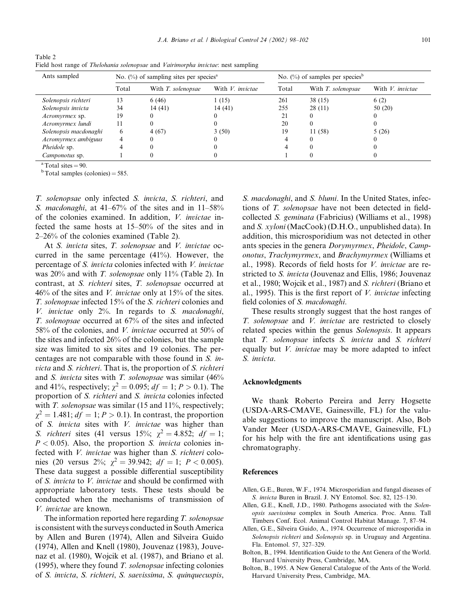| $1$ avit $2$                                                                      |  |
|-----------------------------------------------------------------------------------|--|
| Field host range of Thelohania solenopsae and Vairimorpha invictae: nest sampling |  |

| Ants sampled          | No. $(\%)$ of sampling sites per species <sup>a</sup> |                    |                  | No. $(\%)$ of samples per species <sup>b</sup> |                    |                  |
|-----------------------|-------------------------------------------------------|--------------------|------------------|------------------------------------------------|--------------------|------------------|
|                       | Total                                                 | With T. solenopsae | With V. invictae | Total                                          | With T. solenopsae | With V. invictae |
| Solenopsis richteri   | 13                                                    | 6(46)              | 1(15)            | 261                                            | 38 (15)            | 6(2)             |
| Solenopsis invicta    | 34                                                    | 14(41)             | 14(41)           | 255                                            | 28(11)             | 50 (20)          |
| Acromyrmex sp.        | 19                                                    |                    |                  |                                                |                    |                  |
| Acromyrmex lundi      |                                                       |                    |                  | 20                                             |                    |                  |
| Solenopsis macdonaghi | 6                                                     | 4(67)              | 3(50)            | 19                                             | 11 (58)            | 5(26)            |
| Acromyrmex ambiguus   | 4                                                     |                    |                  |                                                |                    |                  |
| <i>Pheidole</i> sp.   |                                                       |                    |                  |                                                |                    |                  |
| <i>Camponotus</i> sp. |                                                       |                    |                  |                                                |                    |                  |

Table 2

<sup>a</sup>Total sites = 90.<br><sup>b</sup>Total samples (colonies) = 585.

T. solenopsae only infected S. invicta, S. richteri, and S. macdonaghi, at  $41-67%$  of the sites and in  $11-58%$ of the colonies examined. In addition, V. invictae infected the same hosts at 15–50% of the sites and in 2–26% of the colonies examined (Table 2).

At S. invicta sites, T. solenopsae and V. invictae occurred in the same percentage (41%). However, the percentage of S. invicta colonies infected with V. invictae was  $20\%$  and with T. solenopsae only 11% (Table 2). In contrast, at S. richteri sites, T. solenopsae occurred at  $46\%$  of the sites and V. *invictae* only at 15% of the sites. T. solenopsae infected 15% of the S. richteri colonies and V. invictae only 2%. In regards to S. macdonaghi, T. solenopsae occurred at 67% of the sites and infected 58% of the colonies, and V. *invictae* occurred at 50% of the sites and infected 26% of the colonies, but the sample size was limited to six sites and 19 colonies. The percentages are not comparable with those found in S. invicta and S. richteri. That is, the proportion of S. richteri and S. invicta sites with T. solenopsae was similar  $(46\%$ and 41%, respectively;  $\chi^2 = 0.095$ ;  $df = 1; P > 0.1$ ). The proportion of S. richteri and S. invicta colonies infected with  $T.$  solenopsae was similar (15 and 11%, respectively;  $\chi^2 = 1.481$ ;  $df = 1$ ;  $P > 0.1$ ). In contrast, the proportion of S. invicta sites with V. invictae was higher than S. richteri sites (41 versus 15%;  $\chi^2 = 4.852$ ;  $df = 1$ ;  $P < 0.05$ ). Also, the proportion *S. invicta* colonies infected with V. invictae was higher than S. richteri colonies (20 versus 2%;  $\chi^2 = 39.942$ ;  $df = 1$ ;  $P < 0.005$ ). These data suggest a possible differential susceptibility of S. invicta to V. invictae and should be confirmed with appropriate laboratory tests. These tests should be conducted when the mechanisms of transmission of V. invictae are known.

The information reported here regarding T. solenopsae is consistent with the surveys conducted in South America by Allen and Buren (1974), Allen and Silveira Guido (1974), Allen and Knell (1980), Jouvenaz (1983), Jouvenaz et al. (1980), Wojcik et al. (1987), and Briano et al.  $(1995)$ , where they found T. solenopsae infecting colonies of S. invicta, S. richteri, S. saevissima, S. quinquecuspis,

S. *macdonaghi*, and S. *blumi*. In the United States, infections of T. solenopsae have not been detected in fieldcollected S. geminata (Fabricius) (Williams et al., 1998) and S. xyloni (MacCook) (D.H.O., unpublished data). In addition, this microsporidium was not detected in other ants species in the genera Dorymyrmex, Pheidole, Camponotus, Trachymyrmex, and Brachymyrmex (Williams et al., 1998). Records of field hosts for V. invictae are restricted to S. invicta (Jouvenaz and Ellis, 1986; Jouvenaz et al., 1980; Wojcik et al., 1987) and S. richteri (Briano et al., 1995). This is the first report of  $V$ . invictae infecting field colonies of *S. macdonaghi*.

These results strongly suggest that the host ranges of T. solenopsae and V. invictae are restricted to closely related species within the genus Solenopsis. It appears that T. solenopsae infects S. invicta and S. richteri equally but V. invictae may be more adapted to infect S. invicta.

## Acknowledgments

We thank Roberto Pereira and Jerry Hogsette (USDA-ARS-CMAVE, Gainesville, FL) for the valuable suggestions to improve the manuscript. Also, Bob Vander Meer (USDA-ARS-CMAVE, Gainesville, FL) for his help with the fire ant identifications using gas chromatography.

#### References

- Allen, G.E., Buren, W.F., 1974. Microsporidian and fungal diseases of S. invicta Buren in Brazil. J. NY Entomol. Soc. 82, 125–130.
- Allen, G.E., Knell, J.D., 1980. Pathogens associated with the Solenopsis saevissima complex in South America. Proc. Annu. Tall Timbers Conf. Ecol. Animal Control Habitat Manage. 7, 87–94.
- Allen, G.E., Silveira Guido, A., 1974. Occurrence of microsporidia in Solenopsis richteri and Solenopsis sp. in Uruguay and Argentina. Fla. Entomol. 57, 327–329.
- Bolton, B., 1994. Identification Guide to the Ant Genera of the World. Harvard University Press, Cambridge, MA.
- Bolton, B., 1995. A New General Catalogue of the Ants of the World. Harvard University Press, Cambridge, MA.